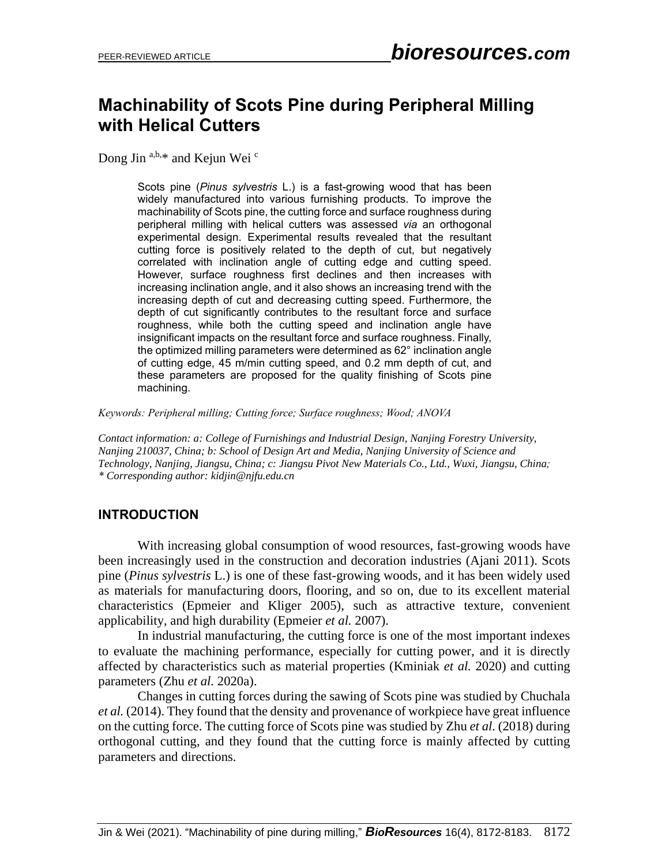# **Machinability of Scots Pine during Peripheral Milling with Helical Cutters**

Dong Jin  $a,b,*$  and Kejun Wei  $c$ 

Scots pine (*Pinus sylvestris* L.) is a fast-growing wood that has been widely manufactured into various furnishing products. To improve the machinability of Scots pine, the cutting force and surface roughness during peripheral milling with helical cutters was assessed *via* an orthogonal experimental design. Experimental results revealed that the resultant cutting force is positively related to the depth of cut, but negatively correlated with inclination angle of cutting edge and cutting speed. However, surface roughness first declines and then increases with increasing inclination angle, and it also shows an increasing trend with the increasing depth of cut and decreasing cutting speed. Furthermore, the depth of cut significantly contributes to the resultant force and surface roughness, while both the cutting speed and inclination angle have insignificant impacts on the resultant force and surface roughness. Finally, the optimized milling parameters were determined as 62° inclination angle of cutting edge, 45 m/min cutting speed, and 0.2 mm depth of cut, and these parameters are proposed for the quality finishing of Scots pine machining.

*Keywords: Peripheral milling; Cutting force; Surface roughness; Wood; ANOVA*

*Contact information: a: College of Furnishings and Industrial Design, Nanjing Forestry University, Nanjing 210037, China; b: School of Design Art and Media, Nanjing University of Science and Technology, Nanjing, Jiangsu, China; c: Jiangsu Pivot New Materials Co., Ltd., Wuxi, Jiangsu, China; \* Corresponding author: kidjin@njfu.edu.cn*

#### **INTRODUCTION**

With increasing global consumption of wood resources, fast-growing woods have been increasingly used in the construction and decoration industries (Ajani 2011). Scots pine (*Pinus sylvestris* L.) is one of these fast-growing woods, and it has been widely used as materials for manufacturing doors, flooring, and so on, due to its excellent material characteristics (Epmeier and Kliger 2005), such as attractive texture, convenient applicability, and high durability (Epmeier *et al.* 2007).

In industrial manufacturing, the cutting force is one of the most important indexes to evaluate the machining performance, especially for cutting power, and it is directly affected by characteristics such as material properties (Kminiak *et al.* 2020) and cutting parameters (Zhu *et al.* 2020a).

Changes in cutting forces during the sawing of Scots pine was studied by Chuchala *et al.* (2014). They found that the density and provenance of workpiece have great influence on the cutting force. The cutting force of Scots pine was studied by Zhu *et al.* (2018) during orthogonal cutting, and they found that the cutting force is mainly affected by cutting parameters and directions.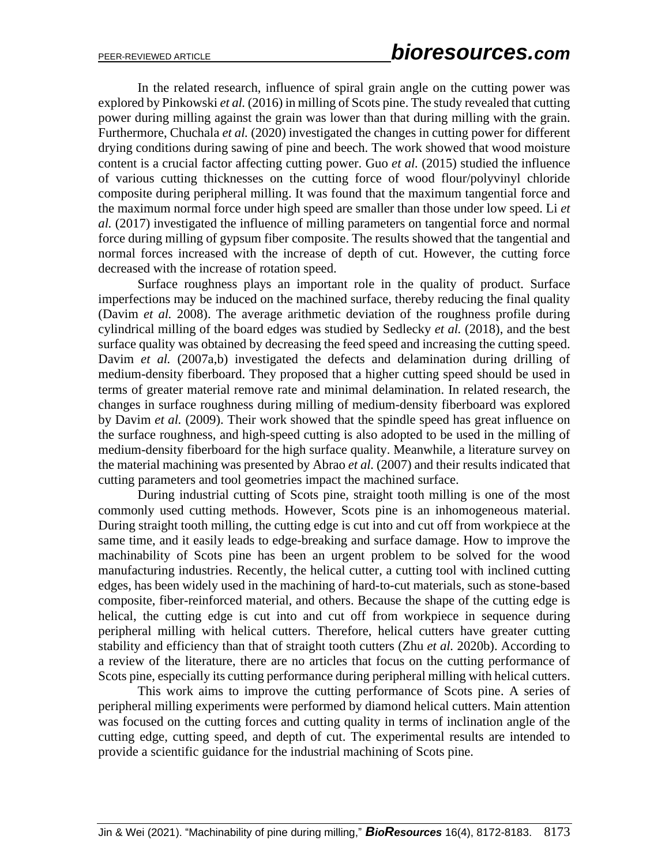In the related research, influence of spiral grain angle on the cutting power was explored by Pinkowski *et al.* (2016) in milling of Scots pine. The study revealed that cutting power during milling against the grain was lower than that during milling with the grain. Furthermore, Chuchala *et al.* (2020) investigated the changes in cutting power for different drying conditions during sawing of pine and beech. The work showed that wood moisture content is a crucial factor affecting cutting power. Guo *et al.* (2015) studied the influence of various cutting thicknesses on the cutting force of wood flour/polyvinyl chloride composite during peripheral milling. It was found that the maximum tangential force and the maximum normal force under high speed are smaller than those under low speed. Li *et al.* (2017) investigated the influence of milling parameters on tangential force and normal force during milling of gypsum fiber composite. The results showed that the tangential and normal forces increased with the increase of depth of cut. However, the cutting force decreased with the increase of rotation speed.

Surface roughness plays an important role in the quality of product. Surface imperfections may be induced on the machined surface, thereby reducing the final quality (Davim *et al.* 2008). The average arithmetic deviation of the roughness profile during cylindrical milling of the board edges was studied by Sedlecky *et al.* (2018), and the best surface quality was obtained by decreasing the feed speed and increasing the cutting speed. Davim *et al.* (2007a,b) investigated the defects and delamination during drilling of medium-density fiberboard. They proposed that a higher cutting speed should be used in terms of greater material remove rate and minimal delamination. In related research, the changes in surface roughness during milling of medium-density fiberboard was explored by Davim *et al.* (2009). Their work showed that the spindle speed has great influence on the surface roughness, and high-speed cutting is also adopted to be used in the milling of medium-density fiberboard for the high surface quality. Meanwhile, a literature survey on the material machining was presented by Abrao *et al.* (2007) and their results indicated that cutting parameters and tool geometries impact the machined surface.

During industrial cutting of Scots pine, straight tooth milling is one of the most commonly used cutting methods. However, Scots pine is an inhomogeneous material. During straight tooth milling, the cutting edge is cut into and cut off from workpiece at the same time, and it easily leads to edge-breaking and surface damage. How to improve the machinability of Scots pine has been an urgent problem to be solved for the wood manufacturing industries. Recently, the helical cutter, a cutting tool with inclined cutting edges, has been widely used in the machining of hard-to-cut materials, such as stone-based composite, fiber-reinforced material, and others. Because the shape of the cutting edge is helical, the cutting edge is cut into and cut off from workpiece in sequence during peripheral milling with helical cutters. Therefore, helical cutters have greater cutting stability and efficiency than that of straight tooth cutters (Zhu *et al.* 2020b). According to a review of the literature, there are no articles that focus on the cutting performance of Scots pine, especially its cutting performance during peripheral milling with helical cutters.

This work aims to improve the cutting performance of Scots pine. A series of peripheral milling experiments were performed by diamond helical cutters. Main attention was focused on the cutting forces and cutting quality in terms of inclination angle of the cutting edge, cutting speed, and depth of cut. The experimental results are intended to provide a scientific guidance for the industrial machining of Scots pine.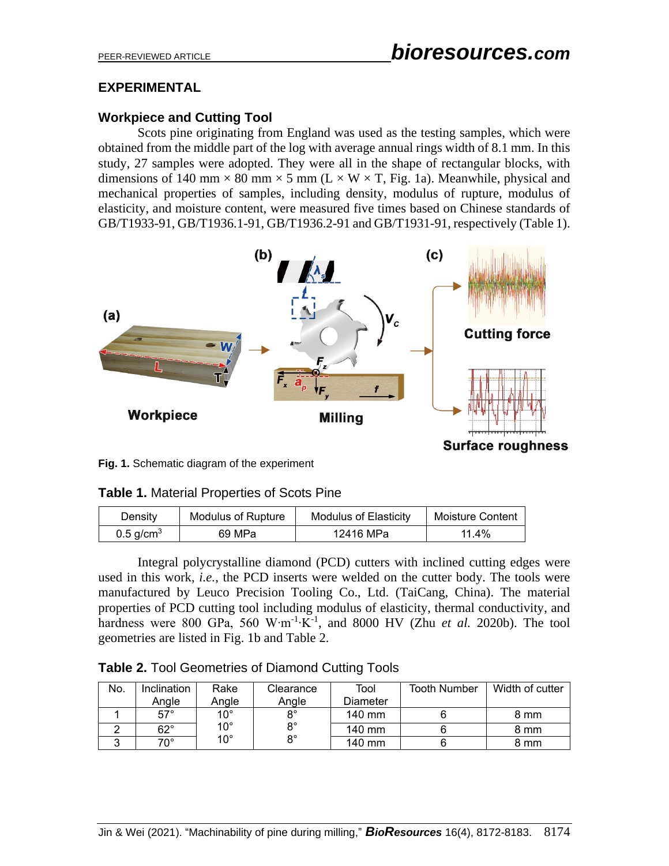# **EXPERIMENTAL**

# **Workpiece and Cutting Tool**

Scots pine originating from England was used as the testing samples, which were obtained from the middle part of the log with average annual rings width of 8.1 mm. In this study, 27 samples were adopted. They were all in the shape of rectangular blocks, with dimensions of 140 mm  $\times$  80 mm  $\times$  5 mm (L  $\times$  W  $\times$  T, Fig. 1a). Meanwhile, physical and mechanical properties of samples, including density, modulus of rupture, modulus of elasticity, and moisture content, were measured five times based on Chinese standards of GB/T1933-91, GB/T1936.1-91, GB/T1936.2-91 and GB/T1931-91, respectively (Table 1).



**Fig. 1.** Schematic diagram of the experiment

| <b>Table 1. Material Properties of Scots Pine</b> |
|---------------------------------------------------|
|---------------------------------------------------|

| Density                 | <b>Modulus of Rupture</b> | <b>Modulus of Elasticity</b> | Moisture Content |
|-------------------------|---------------------------|------------------------------|------------------|
| $0.5$ g/cm <sup>3</sup> | 69 MPa                    | 12416 MPa                    | 11.4%            |

Integral polycrystalline diamond (PCD) cutters with inclined cutting edges were used in this work, *i.e.*, the PCD inserts were welded on the cutter body. The tools were manufactured by Leuco Precision Tooling Co., Ltd. (TaiCang, China). The material properties of PCD cutting tool including modulus of elasticity, thermal conductivity, and hardness were 800 GPa, 560 W⋅m<sup>-1</sup>⋅K<sup>-1</sup>, and 8000 HV (Zhu *et al.* 2020b). The tool geometries are listed in Fig. 1b and Table 2.

**Table 2.** Tool Geometries of Diamond Cutting Tools

| No. | Inclination  | Rake         | Clearance   | Tool             | <b>Tooth Number</b> | Width of cutter |
|-----|--------------|--------------|-------------|------------------|---------------------|-----------------|
|     | Anale        | Anale        | Anale       | Diameter         |                     |                 |
|     | $57^\circ$   | 10°          | $8^{\circ}$ | $140 \text{ mm}$ |                     | 8 mm            |
|     | $62^{\circ}$ | $10^{\circ}$ | $8^{\circ}$ | 140 mm           |                     | 8 mm            |
|     | $70^{\circ}$ | 10°          | $8^{\circ}$ | 140 mm           |                     | 8 mm            |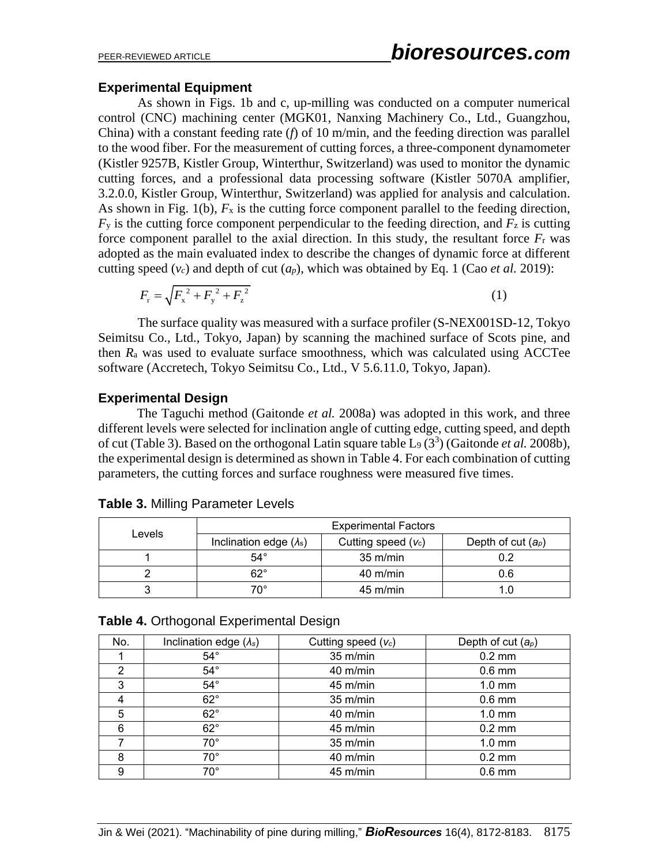#### **Experimental Equipment**

As shown in Figs. 1b and c, up-milling was conducted on a computer numerical control (CNC) machining center (MGK01, Nanxing Machinery Co., Ltd., Guangzhou, China) with a constant feeding rate (*f*) of 10 m/min, and the feeding direction was parallel to the wood fiber. For the measurement of cutting forces, a three-component dynamometer (Kistler 9257B, Kistler Group, Winterthur, Switzerland) was used to monitor the dynamic cutting forces, and a professional data processing software (Kistler 5070A amplifier, 3.2.0.0, Kistler Group, Winterthur, Switzerland) was applied for analysis and calculation. As shown in Fig. 1(b),  $F_x$  is the cutting force component parallel to the feeding direction,  $F<sub>y</sub>$  is the cutting force component perpendicular to the feeding direction, and  $F<sub>z</sub>$  is cutting force component parallel to the axial direction. In this study, the resultant force  $F_r$  was adopted as the main evaluated index to describe the changes of dynamic force at different cutting speed  $(v_c)$  and depth of cut  $(a_p)$ , which was obtained by Eq. 1 (Cao *et al.* 2019):

$$
F_{\rm r} = \sqrt{F_{\rm x}^2 + F_{\rm y}^2 + F_{\rm z}^2}
$$
 (1)

The surface quality was measured with a surface profiler (S-NEX001SD-12, Tokyo Seimitsu Co., Ltd., Tokyo, Japan) by scanning the machined surface of Scots pine, and then *R*<sup>a</sup> was used to evaluate surface smoothness, which was calculated using ACCTee software (Accretech, Tokyo Seimitsu Co., Ltd., V 5.6.11.0, Tokyo, Japan).

#### **Experimental Design**

The Taguchi method (Gaitonde *et al.* 2008a) was adopted in this work, and three different levels were selected for inclination angle of cutting edge, cutting speed, and depth of cut (Table 3). Based on the orthogonal Latin square table L<sub>9</sub> (3<sup>3</sup>) (Gaitonde *et al.* 2008b), the experimental design is determined as shown in Table 4. For each combination of cutting parameters, the cutting forces and surface roughness were measured five times.

|        | <b>Experimental Factors</b>    |                       |                      |  |  |
|--------|--------------------------------|-----------------------|----------------------|--|--|
| Levels | Inclination edge $(\lambda_s)$ | Cutting speed $(v_c)$ | Depth of cut $(a_p)$ |  |  |
|        | $54^\circ$                     | $35 \text{ m/min}$    | 0.2                  |  |  |
|        | 62°                            | $40 \text{ m/min}$    | 0.6                  |  |  |
|        | 70°                            | $45 \text{ m/min}$    |                      |  |  |

**Table 3.** Milling Parameter Levels

|  | Table 4. Orthogonal Experimental Design |  |
|--|-----------------------------------------|--|
|  |                                         |  |

| No. | Inclination edge $(\lambda_s)$ | Cutting speed $(v_c)$ | Depth of cut $(a_p)$ |
|-----|--------------------------------|-----------------------|----------------------|
|     | $54^{\circ}$                   | 35 m/min              | $0.2 \text{ mm}$     |
| 2   | $54^{\circ}$                   | 40 m/min              | $0.6$ mm             |
| 3   | $54^{\circ}$                   | 45 m/min              | $1.0 \text{ mm}$     |
| 4   | $62^\circ$                     | $35 \text{ m/min}$    | $0.6$ mm             |
| 5   | $62^\circ$                     | 40 m/min              | $1.0 \text{ mm}$     |
| 6   | $62^\circ$                     | 45 m/min              | $0.2 \text{ mm}$     |
|     | $70^{\circ}$                   | 35 m/min              | $1.0 \text{ mm}$     |
| 8   | $70^{\circ}$                   | 40 m/min              | $0.2 \text{ mm}$     |
| 9   | $70^{\circ}$                   | 45 m/min              | $0.6$ mm             |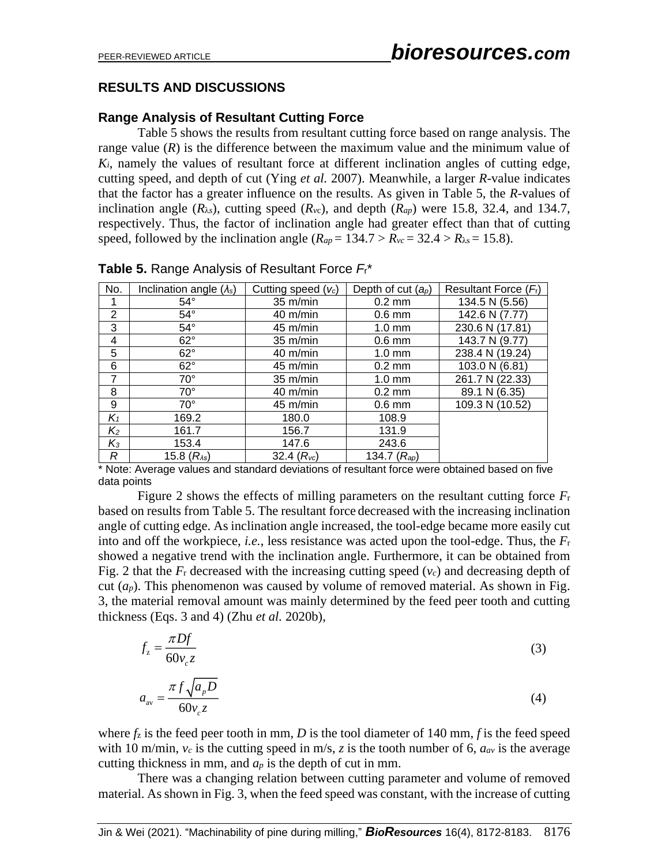# **RESULTS AND DISCUSSIONS**

### **Range Analysis of Resultant Cutting Force**

Table 5 shows the results from resultant cutting force based on range analysis. The range value  $(R)$  is the difference between the maximum value and the minimum value of  $K_i$ , namely the values of resultant force at different inclination angles of cutting edge, cutting speed, and depth of cut (Ying *et al.* 2007). Meanwhile, a larger *R*-value indicates that the factor has a greater influence on the results. As given in Table 5, the *R*-values of inclination angle  $(R_{\lambda s})$ , cutting speed  $(R_{\nu c})$ , and depth  $(R_{ap})$  were 15.8, 32.4, and 134.7, respectively. Thus, the factor of inclination angle had greater effect than that of cutting speed, followed by the inclination angle  $(R_{ap} = 134.7 > R_{vc} = 32.4 > R_{\lambda s} = 15.8)$ .

| No.   | Inclination angle $(\lambda_s)$ | Cutting speed $(v_c)$ | Depth of cut $(a_p)$ | Resultant Force $(Fr)$ |
|-------|---------------------------------|-----------------------|----------------------|------------------------|
|       | $54^{\circ}$                    | $35 \text{ m/min}$    | $0.2 \text{ mm}$     | 134.5 N (5.56)         |
| 2     | $54^{\circ}$                    | 40 m/min              | $0.6$ mm             | 142.6 N (7.77)         |
| 3     | $54^\circ$                      | 45 m/min              | $1.0$ mm             | 230.6 N (17.81)        |
| 4     | $62^\circ$                      | 35 m/min              | $0.6$ mm             | 143.7 N (9.77)         |
| 5     | $62^\circ$                      | $40 \text{ m/min}$    | $1.0 \text{ mm}$     | 238.4 N (19.24)        |
| 6     | $62^\circ$                      | 45 m/min              | $0.2 \text{ mm}$     | 103.0 N (6.81)         |
| 7     | $70^{\circ}$                    | $35 \text{ m/min}$    | $1.0 \text{ mm}$     | 261.7 N (22.33)        |
| 8     | $70^{\circ}$                    | 40 m/min              | $0.2 \text{ mm}$     | 89.1 N (6.35)          |
| 9     | $70^{\circ}$                    | 45 m/min              | $0.6$ mm             | 109.3 N (10.52)        |
| $K_1$ | 169.2                           | 180.0                 | 108.9                |                        |
| $K_2$ | 161.7                           | 156.7                 | 131.9                |                        |
| $K_3$ | 153.4                           | 147.6                 | 243.6                |                        |
| R     | 15.8 $(R_{\text{As}})$          | 32.4 $(R_{\nu c})$    | 134.7 $(R_{ap})$     |                        |

**Table 5.** Range Analysis of Resultant Force *F*r\*

\* Note: Average values and standard deviations of resultant force were obtained based on five data points

Figure 2 shows the effects of milling parameters on the resultant cutting force *F*<sup>r</sup> based on results from Table 5. The resultant force decreased with the increasing inclination angle of cutting edge. As inclination angle increased, the tool-edge became more easily cut into and off the workpiece, *i.e.*, less resistance was acted upon the tool-edge. Thus, the *F*<sup>r</sup> showed a negative trend with the inclination angle. Furthermore, it can be obtained from Fig. 2 that the  $F_r$  decreased with the increasing cutting speed  $(v_c)$  and decreasing depth of cut  $(a_p)$ . This phenomenon was caused by volume of removed material. As shown in Fig. 3, the material removal amount was mainly determined by the feed peer tooth and cutting thickness (Eqs. 3 and 4) (Zhu *et al.* 2020b),

$$
f_z = \frac{\pi D f}{60 v_c z} \tag{3}
$$

$$
a_{\rm av} = \frac{\pi f \sqrt{a_p D}}{60 v_c z} \tag{4}
$$

where  $f_z$  is the feed peer tooth in mm, *D* is the tool diameter of 140 mm, *f* is the feed speed with 10 m/min,  $v_c$  is the cutting speed in m/s, *z* is the tooth number of 6,  $a_{av}$  is the average cutting thickness in mm, and  $a_p$  is the depth of cut in mm.

There was a changing relation between cutting parameter and volume of removed material. As shown in Fig. 3, when the feed speed was constant, with the increase of cutting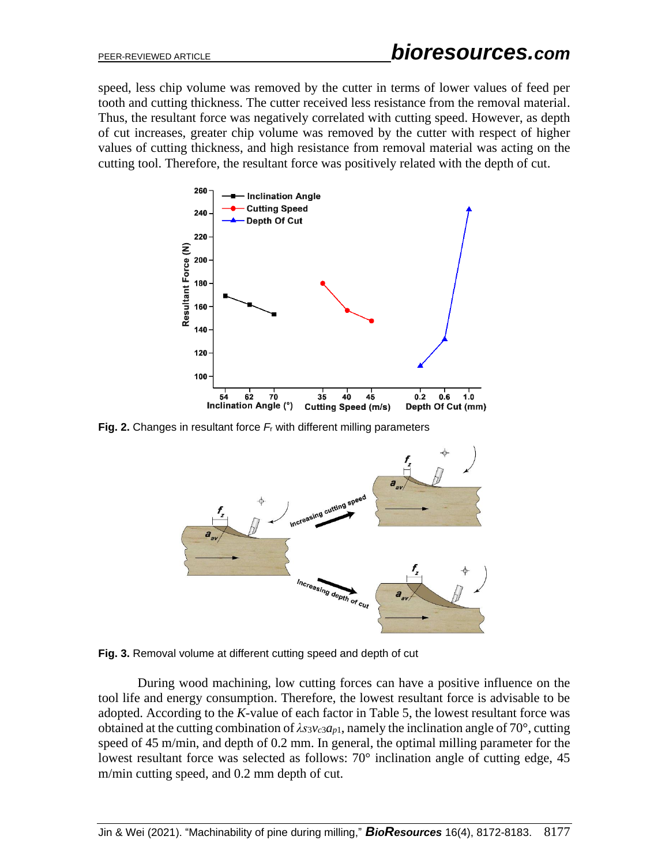speed, less chip volume was removed by the cutter in terms of lower values of feed per tooth and cutting thickness. The cutter received less resistance from the removal material. Thus, the resultant force was negatively correlated with cutting speed. However, as depth of cut increases, greater chip volume was removed by the cutter with respect of higher values of cutting thickness, and high resistance from removal material was acting on the cutting tool. Therefore, the resultant force was positively related with the depth of cut.



**Fig. 2.** Changes in resultant force *F*<sup>r</sup> with different milling parameters



**Fig. 3.** Removal volume at different cutting speed and depth of cut

During wood machining, low cutting forces can have a positive influence on the tool life and energy consumption. Therefore, the lowest resultant force is advisable to be adopted. According to the *K*-value of each factor in Table 5, the lowest resultant force was obtained at the cutting combination of  $\lambda s_3 v_c s a_p$ , namely the inclination angle of 70°, cutting speed of 45 m/min, and depth of 0.2 mm. In general, the optimal milling parameter for the lowest resultant force was selected as follows: 70° inclination angle of cutting edge, 45 m/min cutting speed, and 0.2 mm depth of cut.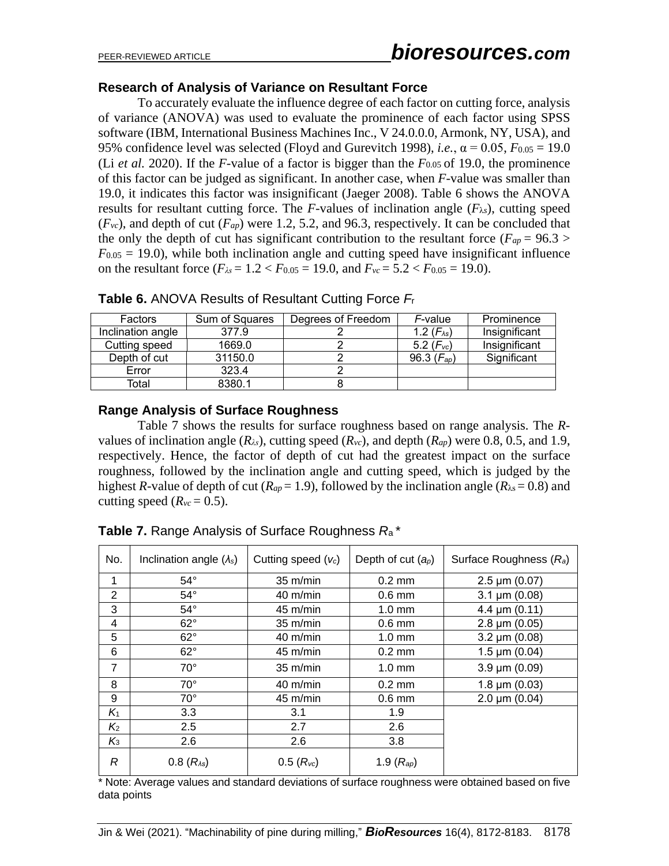### **Research of Analysis of Variance on Resultant Force**

To accurately evaluate the influence degree of each factor on cutting force, analysis of variance (ANOVA) was used to evaluate the prominence of each factor using SPSS software (IBM, International Business Machines Inc., V 24.0.0.0, Armonk, NY, USA), and 95% confidence level was selected (Floyd and Gurevitch 1998), *i.e.*,  $\alpha = 0.05$ ,  $F_{0.05} = 19.0$ (Li *et al.* 2020). If the *F*-value of a factor is bigger than the *F*0.05 of 19.0, the prominence of this factor can be judged as significant. In another case, when *F*-value was smaller than 19.0, it indicates this factor was insignificant (Jaeger 2008). Table 6 shows the ANOVA results for resultant cutting force. The *F*-values of inclination angle  $(F_{\lambda s})$ , cutting speed  $(F_{vc})$ , and depth of cut  $(F_{ap})$  were 1.2, 5.2, and 96.3, respectively. It can be concluded that the only the depth of cut has significant contribution to the resultant force ( $F_{ap} = 96.3$ )  $F_{0.05} = 19.0$ ), while both inclination angle and cutting speed have insignificant influence on the resultant force  $(F_{\lambda s} = 1.2 < F_{0.05} = 19.0)$ , and  $F_{\nu c} = 5.2 < F_{0.05} = 19.0)$ .

| Factors           | Sum of Squares | Degrees of Freedom | F-value               | Prominence    |
|-------------------|----------------|--------------------|-----------------------|---------------|
| Inclination angle | 377.9          |                    | 1.2 $(F_{\lambda s})$ | Insignificant |
| Cutting speed     | 1669.0         |                    | 5.2 $(Fvc)$           | Insignificant |
| Depth of cut      | 31150.0        |                    | 96.3 $(F_{ap})$       | Significant   |
| Error             | 323.4          |                    |                       |               |
| Total             | 8380.1         |                    |                       |               |

**Table 6.** ANOVA Results of Resultant Cutting Force *F*<sup>r</sup>

#### **Range Analysis of Surface Roughness**

Table 7 shows the results for surface roughness based on range analysis. The *R*values of inclination angle  $(R_\lambda s)$ , cutting speed  $(R_\nu c)$ , and depth  $(R_{\alpha\rho})$  were 0.8, 0.5, and 1.9, respectively. Hence, the factor of depth of cut had the greatest impact on the surface roughness, followed by the inclination angle and cutting speed, which is judged by the highest *R*-value of depth of cut ( $R_{ap} = 1.9$ ), followed by the inclination angle ( $R_{\lambda s} = 0.8$ ) and cutting speed  $(R<sub>vc</sub> = 0.5)$ .

| No.            | Inclination angle $(\lambda_s)$ | Cutting speed $(v_c)$ | Depth of cut $(a_p)$ | Surface Roughness (R <sub>a</sub> ) |
|----------------|---------------------------------|-----------------------|----------------------|-------------------------------------|
| 1              | $54^{\circ}$                    | $35 \text{ m/min}$    | $0.2 \text{ mm}$     | $2.5 \,\mathrm{\upmu m}$ (0.07)     |
| $\overline{2}$ | $54^{\circ}$                    | $40 \text{ m/min}$    | $0.6$ mm             | $3.1 \,\mu m$ (0.08)                |
| 3              | $54^{\circ}$                    | $45 \text{ m/min}$    | $1.0 \text{ mm}$     | 4.4 $\mu$ m (0.11)                  |
| 4              | $62^\circ$                      | $35 \text{ m/min}$    | $0.6$ mm             | $2.8 \mu m (0.05)$                  |
| 5              | $62^\circ$                      | $40 \text{ m/min}$    | $1.0 \text{ mm}$     | $3.2 \mu m (0.08)$                  |
| 6              | $62^\circ$                      | $45 \text{ m/min}$    | $0.2 \text{ mm}$     | $1.5 \,\mathrm{\upmu m}$ (0.04)     |
| $\overline{7}$ | $70^{\circ}$                    | $35 \text{ m/min}$    | $1.0 \text{ mm}$     | $3.9 \,\mu m$ (0.09)                |
| 8              | $70^\circ$                      | $40 \text{ m/min}$    | $0.2 \text{ mm}$     | $1.8 \mu m (0.03)$                  |
| 9              | $70^{\circ}$                    | $45 \text{ m/min}$    | $0.6$ mm             | $2.0 \mu m (0.04)$                  |
| $K_1$          | 3.3                             | 3.1                   | 1.9                  |                                     |
| $K_{2}$        | 2.5                             | 2.7                   | 2.6                  |                                     |
| $K_3$          | 2.6                             | 2.6                   | 3.8                  |                                     |
| R              | $0.8(R_{As})$                   | $0.5(R_{\rm vc})$     | 1.9 $(R_{ap})$       |                                     |

**Table 7.** Range Analysis of Surface Roughness *R*<sup>a</sup> \*

\* Note: Average values and standard deviations of surface roughness were obtained based on five data points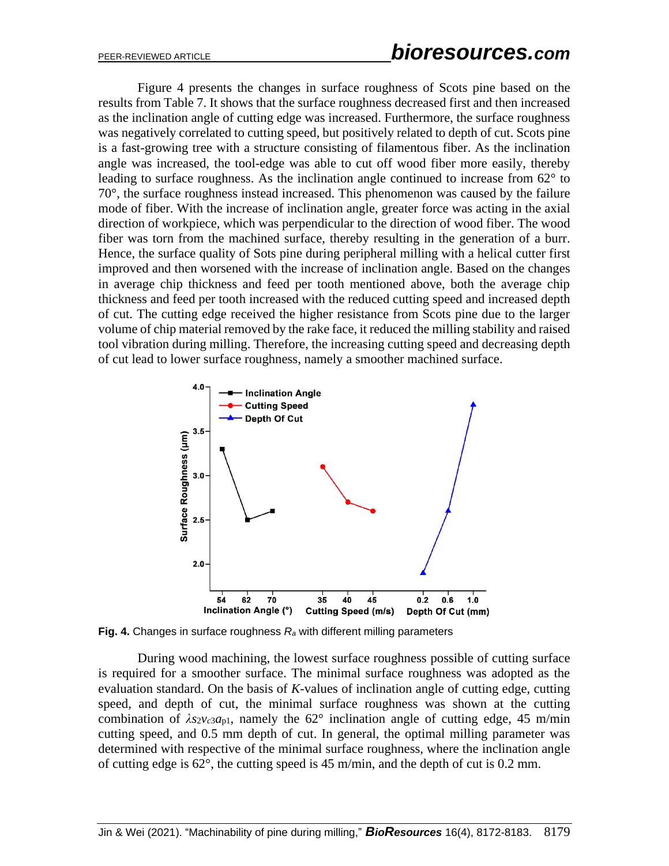Figure 4 presents the changes in surface roughness of Scots pine based on the results from Table 7. It shows that the surface roughness decreased first and then increased as the inclination angle of cutting edge was increased. Furthermore, the surface roughness was negatively correlated to cutting speed, but positively related to depth of cut. Scots pine is a fast-growing tree with a structure consisting of filamentous fiber. As the inclination angle was increased, the tool-edge was able to cut off wood fiber more easily, thereby leading to surface roughness. As the inclination angle continued to increase from 62° to 70°, the surface roughness instead increased. This phenomenon was caused by the failure mode of fiber. With the increase of inclination angle, greater force was acting in the axial direction of workpiece, which was perpendicular to the direction of wood fiber. The wood fiber was torn from the machined surface, thereby resulting in the generation of a burr. Hence, the surface quality of Sots pine during peripheral milling with a helical cutter first improved and then worsened with the increase of inclination angle. Based on the changes in average chip thickness and feed per tooth mentioned above, both the average chip thickness and feed per tooth increased with the reduced cutting speed and increased depth of cut. The cutting edge received the higher resistance from Scots pine due to the larger volume of chip material removed by the rake face, it reduced the milling stability and raised tool vibration during milling. Therefore, the increasing cutting speed and decreasing depth of cut lead to lower surface roughness, namely a smoother machined surface.



**Fig. 4.** Changes in surface roughness *R<sup>a</sup>* with different milling parameters

During wood machining, the lowest surface roughness possible of cutting surface is required for a smoother surface. The minimal surface roughness was adopted as the evaluation standard. On the basis of *K*-values of inclination angle of cutting edge, cutting speed, and depth of cut, the minimal surface roughness was shown at the cutting combination of  $\lambda s_2v_c_3a_{p1}$ , namely the 62° inclination angle of cutting edge, 45 m/min cutting speed, and 0.5 mm depth of cut. In general, the optimal milling parameter was determined with respective of the minimal surface roughness, where the inclination angle of cutting edge is 62°, the cutting speed is 45 m/min, and the depth of cut is 0.2 mm.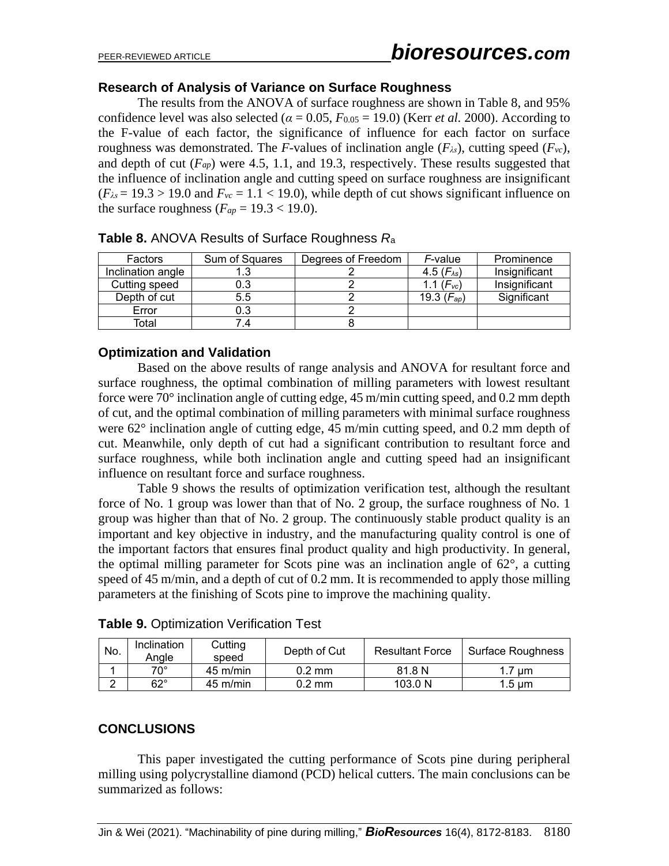#### **Research of Analysis of Variance on Surface Roughness**

The results from the ANOVA of surface roughness are shown in Table 8, and 95% confidence level was also selected ( $\alpha = 0.05$ ,  $F_{0.05} = 19.0$ ) (Kerr *et al.* 2000). According to the F-value of each factor, the significance of influence for each factor on surface roughness was demonstrated. The *F*-values of inclination angle (*Fλs*), cutting speed (*Fvc*), and depth of cut  $(F_{ap})$  were 4.5, 1.1, and 19.3, respectively. These results suggested that the influence of inclination angle and cutting speed on surface roughness are insignificant  $(F_{\lambda s} = 19.3 > 19.0$  and  $F_{\nu c} = 1.1 < 19.0$ , while depth of cut shows significant influence on the surface roughness ( $F_{ap}$  = 19.3 < 19.0).

| Factors           | Sum of Squares | Degrees of Freedom | F-value               | Prominence    |
|-------------------|----------------|--------------------|-----------------------|---------------|
| Inclination angle |                |                    | 4.5 $(F_{\lambda s})$ | Insignificant |
| Cutting speed     | 0.3            |                    | 1.1 $(Fvc)$           | Insignificant |
| Depth of cut      | 5.5            |                    | 19.3 $(F_{ap})$       | Significant   |
| Error             | 0.3            |                    |                       |               |
| Total             |                |                    |                       |               |

**Table 8.** ANOVA Results of Surface Roughness *R*<sup>a</sup>

#### **Optimization and Validation**

Based on the above results of range analysis and ANOVA for resultant force and surface roughness, the optimal combination of milling parameters with lowest resultant force were 70° inclination angle of cutting edge, 45 m/min cutting speed, and 0.2 mm depth of cut, and the optimal combination of milling parameters with minimal surface roughness were 62° inclination angle of cutting edge, 45 m/min cutting speed, and 0.2 mm depth of cut. Meanwhile, only depth of cut had a significant contribution to resultant force and surface roughness, while both inclination angle and cutting speed had an insignificant influence on resultant force and surface roughness.

Table 9 shows the results of optimization verification test, although the resultant force of No. 1 group was lower than that of No. 2 group, the surface roughness of No. 1 group was higher than that of No. 2 group. The continuously stable product quality is an important and key objective in industry, and the manufacturing quality control is one of the important factors that ensures final product quality and high productivity. In general, the optimal milling parameter for Scots pine was an inclination angle of 62°, a cutting speed of 45 m/min, and a depth of cut of 0.2 mm. It is recommended to apply those milling parameters at the finishing of Scots pine to improve the machining quality.

| No. | Inclination<br>Anale | Cutting<br>speed   | Depth of Cut     | <b>Resultant Force</b> | Surface Roughness |
|-----|----------------------|--------------------|------------------|------------------------|-------------------|
|     | 70°                  | $45 \text{ m/min}$ | $0.2 \text{ mm}$ | 81.8 N                 | um                |
|     | $62^\circ$           | $45 \text{ m/min}$ | $0.2 \text{ mm}$ | 103.0 N                | $1.5 \text{ µm}$  |

**Table 9.** Optimization Verification Test

### **CONCLUSIONS**

This paper investigated the cutting performance of Scots pine during peripheral milling using polycrystalline diamond (PCD) helical cutters. The main conclusions can be summarized as follows: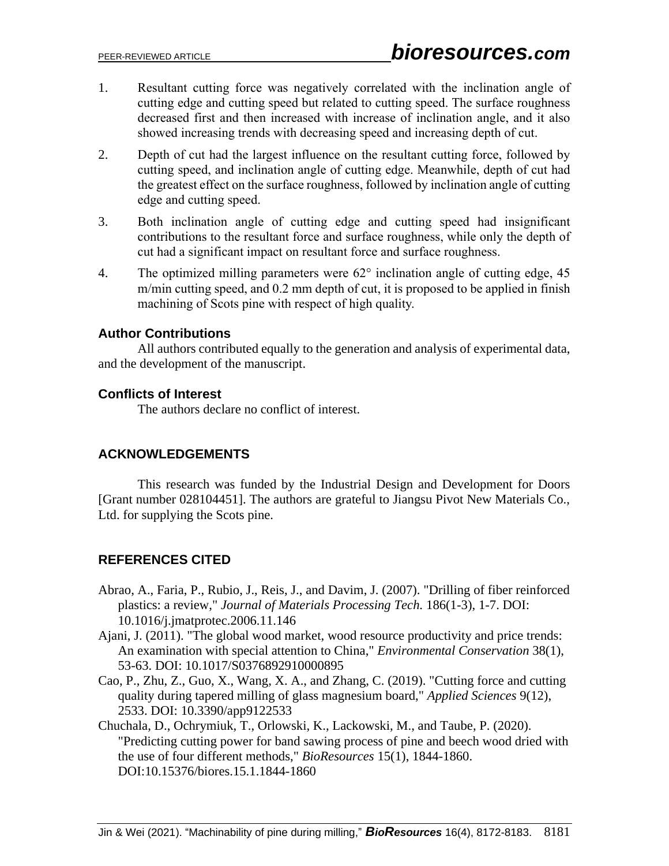- 1. Resultant cutting force was negatively correlated with the inclination angle of cutting edge and cutting speed but related to cutting speed. The surface roughness decreased first and then increased with increase of inclination angle, and it also showed increasing trends with decreasing speed and increasing depth of cut.
- 2. Depth of cut had the largest influence on the resultant cutting force, followed by cutting speed, and inclination angle of cutting edge. Meanwhile, depth of cut had the greatest effect on the surface roughness, followed by inclination angle of cutting edge and cutting speed.
- 3. Both inclination angle of cutting edge and cutting speed had insignificant contributions to the resultant force and surface roughness, while only the depth of cut had a significant impact on resultant force and surface roughness.
- 4. The optimized milling parameters were  $62^{\circ}$  inclination angle of cutting edge, 45 m/min cutting speed, and 0.2 mm depth of cut, it is proposed to be applied in finish machining of Scots pine with respect of high quality.

# **Author Contributions**

All authors contributed equally to the generation and analysis of experimental data, and the development of the manuscript.

# **Conflicts of Interest**

The authors declare no conflict of interest.

# **ACKNOWLEDGEMENTS**

This research was funded by the Industrial Design and Development for Doors [Grant number 028104451]. The authors are grateful to Jiangsu Pivot New Materials Co., Ltd. for supplying the Scots pine.

# **REFERENCES CITED**

- Abrao, A., Faria, P., Rubio, J., Reis, J., and Davim, J. (2007). "Drilling of fiber reinforced plastics: a review," *Journal of Materials Processing Tech.* 186(1-3), 1-7. DOI: 10.1016/j.jmatprotec.2006.11.146
- Ajani, J. (2011). "The global wood market, wood resource productivity and price trends: An examination with special attention to China," *Environmental Conservation* 38(1), 53-63. DOI: 10.1017/S0376892910000895
- Cao, P., Zhu, Z., Guo, X., Wang, X. A., and Zhang, C. (2019). "Cutting force and cutting quality during tapered milling of glass magnesium board," *Applied Sciences* 9(12), 2533. DOI: 10.3390/app9122533
- Chuchala, D., Ochrymiuk, T., Orlowski, K., Lackowski, M., and Taube, P. (2020). "Predicting cutting power for band sawing process of pine and beech wood dried with the use of four different methods," *BioResources* 15(1), 1844-1860. DOI:10.15376/biores.15.1.1844-1860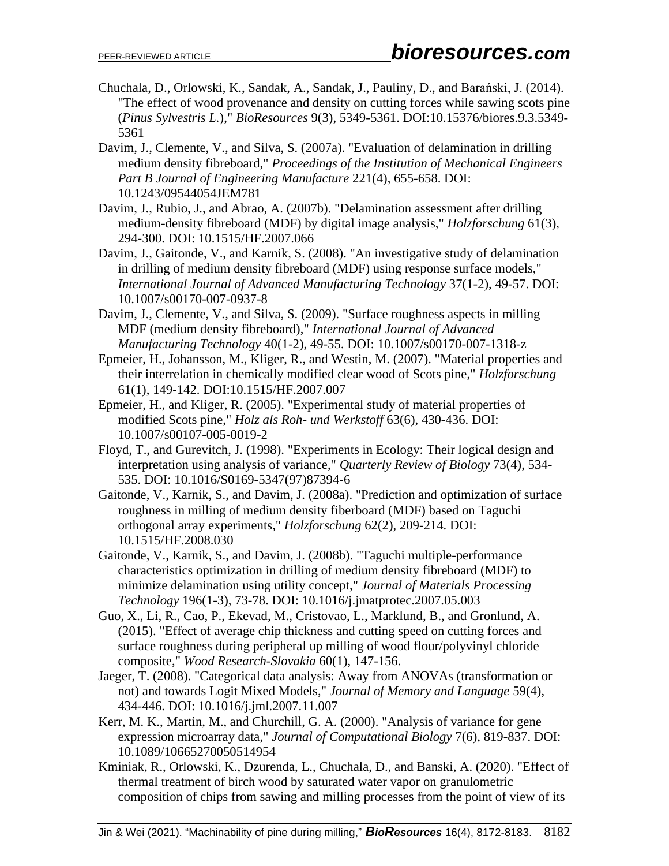- Chuchala, D., Orlowski, K., Sandak, A., Sandak, J., Pauliny, D., and Barański, J. (2014). "The effect of wood provenance and density on cutting forces while sawing scots pine (*Pinus Sylvestris L.*)," *BioResources* 9(3), 5349-5361. DOI:10.15376/biores.9.3.5349- 5361
- Davim, J., Clemente, V., and Silva, S. (2007a). "Evaluation of delamination in drilling medium density fibreboard," *Proceedings of the Institution of Mechanical Engineers Part B Journal of Engineering Manufacture* 221(4), 655-658. DOI: 10.1243/09544054JEM781
- Davim, J., Rubio, J., and Abrao, A. (2007b). "Delamination assessment after drilling medium-density fibreboard (MDF) by digital image analysis," *Holzforschung* 61(3), 294-300. DOI: 10.1515/HF.2007.066
- Davim, J., Gaitonde, V., and Karnik, S. (2008). "An investigative study of delamination in drilling of medium density fibreboard (MDF) using response surface models," *International Journal of Advanced Manufacturing Technology* 37(1-2), 49-57. DOI: 10.1007/s00170-007-0937-8
- Davim, J., Clemente, V., and Silva, S. (2009). "Surface roughness aspects in milling MDF (medium density fibreboard)," *International Journal of Advanced Manufacturing Technology* 40(1-2), 49-55. DOI: 10.1007/s00170-007-1318-z
- Epmeier, H., Johansson, M., Kliger, R., and Westin, M. (2007). "Material properties and their interrelation in chemically modified clear wood of Scots pine," *Holzforschung*  61(1), 149-142. DOI:10.1515/HF.2007.007
- Epmeier, H., and Kliger, R. (2005). "Experimental study of material properties of modified Scots pine," *Holz als Roh- und Werkstoff* 63(6), 430-436. DOI: 10.1007/s00107-005-0019-2
- Floyd, T., and Gurevitch, J. (1998). "Experiments in Ecology: Their logical design and interpretation using analysis of variance," *Quarterly Review of Biology* 73(4), 534- 535. DOI: 10.1016/S0169-5347(97)87394-6
- Gaitonde, V., Karnik, S., and Davim, J. (2008a). "Prediction and optimization of surface roughness in milling of medium density fiberboard (MDF) based on Taguchi orthogonal array experiments," *Holzforschung* 62(2), 209-214. DOI: 10.1515/HF.2008.030
- Gaitonde, V., Karnik, S., and Davim, J. (2008b). "Taguchi multiple-performance characteristics optimization in drilling of medium density fibreboard (MDF) to minimize delamination using utility concept," *Journal of Materials Processing Technology* 196(1-3), 73-78. DOI: 10.1016/j.jmatprotec.2007.05.003
- Guo, X., Li, R., Cao, P., Ekevad, M., Cristovao, L., Marklund, B., and Gronlund, A. (2015). "Effect of average chip thickness and cutting speed on cutting forces and surface roughness during peripheral up milling of wood flour/polyvinyl chloride composite," *Wood Research-Slovakia* 60(1), 147-156.
- Jaeger, T. (2008). "Categorical data analysis: Away from ANOVAs (transformation or not) and towards Logit Mixed Models," *Journal of Memory and Language* 59(4), 434-446. DOI: 10.1016/j.jml.2007.11.007
- Kerr, M. K., Martin, M., and Churchill, G. A. (2000). "Analysis of variance for gene expression microarray data," *Journal of Computational Biology* 7(6), 819-837. DOI: 10.1089/10665270050514954
- Kminiak, R., Orlowski, K., Dzurenda, L., Chuchala, D., and Banski, A. (2020). "Effect of thermal treatment of birch wood by saturated water vapor on granulometric composition of chips from sawing and milling processes from the point of view of its